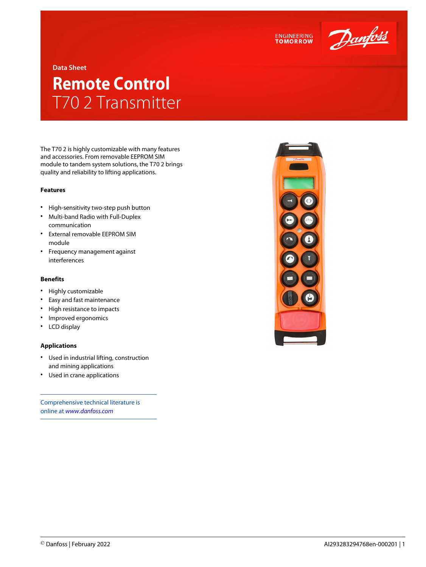



**Data Sheet**

## **Remote Control** T70 2 Transmitter

The T70 2 is highly customizable with many features and accessories. From removable EEPROM SIM module to tandem system solutions, the T70 2 brings quality and reliability to lifting applications.

## **Features**

- High-sensitivity two-step push button
- Multi-band Radio with Full-Duplex communication
- External removable EEPROM SIM module
- Frequency management against interferences

## **Benefits**

- Highly customizable
- Easy and fast maintenance
- High resistance to impacts
- Improved ergonomics
- LCD display

## **Applications**

- Used in industrial lifting, construction and mining applications
- Used in crane applications

Comprehensive technical literature is online at *[www.danfoss.com](https://www.danfoss.com/en/search/?filter=type%3Adocumentation%2Csegment%3Adps)*